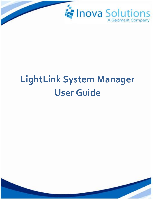

# **LightLink System Manager User Guide**

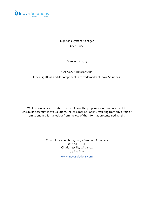

LightLink System Manager User Guide

October 11, 2019

#### NOTICE OF TRADEMARK:

Inova LightLink and its components are trademarks of Inova Solutions.

While reasonable efforts have been taken in the preparation of this document to ensure its accuracy, Inova Solutions, Inc. assumes no liability resulting from any errors or omissions in this manual, or from the use of the information contained herein.

> © 2021 Inova Solutions, Inc., a Geomant Company 971 2nd ST S.E. Charlottesville, VA 22902 434.817.8000

> > [www.inovasolutions.com](http://www.inovasolutions.com/)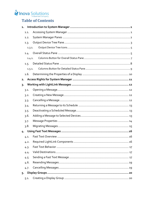# Inova Solutions

# **Table of Contents**

|                | 1.1.   |  |
|----------------|--------|--|
|                | 1.2.   |  |
|                | 1.3.   |  |
|                | 1.3.1. |  |
|                | 1.4.   |  |
|                | 1.4.1. |  |
|                | 1.5.   |  |
|                | 1.5.1. |  |
|                | 1.6.   |  |
| 2.             |        |  |
| $\overline{3}$ |        |  |
|                | 3.1.   |  |
|                | 3.2.   |  |
|                | 3.3.   |  |
|                | 3.4.   |  |
|                | 3.5.   |  |
|                | 3.6.   |  |
|                | 3.7.   |  |
|                | 3.8.   |  |
| 4.             |        |  |
|                | 4.1.   |  |
|                | 4.2.   |  |
|                | 4.3.   |  |
|                | 4.4.   |  |
|                | 4.5.   |  |
|                | 4.6.   |  |
|                | 4.7.   |  |
| 5.             |        |  |
|                | 5.1.   |  |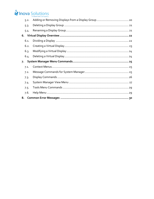# Inova Solutions

| 5.2. |  |
|------|--|
| 5.3. |  |
| 5.4. |  |
|      |  |
| 6.1. |  |
| 6.2. |  |
| 6.3. |  |
| 6.4. |  |
|      |  |
| 7.   |  |
| 7.1. |  |
| 7.2. |  |
| 7.3. |  |
| 7.4. |  |
| 7.5. |  |
| 7.6. |  |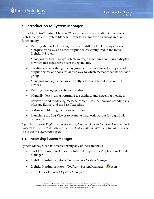# <span id="page-4-0"></span>**1. Introduction to System Manager**

Inova LightLink® System Manager™ is a Supervisor application in the Inova LightLink System. System Manager provides the following general areas of functionality:

- Viewing status of all messages sent to LightLink LED displays, Inova Marquee displays, and other output devices configured in the Inova LightLink System
- Managing virtual displays, which are regions within a configured display to which messages can be sent independently
- Creating and modifying display groups, which are logical groupings of output devices and/or virtual displays, to which messages can be sent as a group
- Managing messages that are currently active or scheduled on output devices
- Viewing message properties and status
- Manually deactivating, returning to schedule, and cancelling messages
- Reviewing and modifying message content, destination, and schedule via Message Editor, and the Fast Text editor
- Sorting and filtering the message display
- Launching the Log Viewer to examine diagnostic output for LightLink programs

*LightLink supports English across the entire platform. Support for other character sets is provided in Fast Text messages sent to TaskLink clients and their message titles as shown in System Manager status panes.*

#### <span id="page-4-1"></span>**1.1. Accessing System Manager**

System Manager can be accessed using any of these methods:

- Start > All Programs > Inova Solutions > Supervisor Applications > System Manager
- LightLink Administrator > Tools menu > System Manager
- LightLink Administrator > Toolbar > System Manager
- Inova Quick Launch > System Manager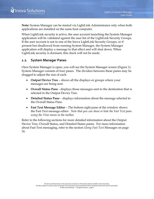**Note:** System Manager can be started via LightLink Administrator only when both applications are installed on the same host computer.

When LightLink security is active, the user account launching the System Manager application will be validated against the user list of the LightLink Security Groups. If the user account is not in one of the Inova LightLink Security Groups, or if present but disallowed from running System Manager, the System Manager application will display a message to that effect and will shut down. When LightLink security is dormant, this check will not be made.

#### <span id="page-5-0"></span>**1.2. System Manager Panes**

Once System Manager is open, you will see the System Manager screen [\(Figure 1\)](#page-6-1). System Manager consists of four panes. The dividers between these panes may be dragged to adjust the size of each.

- **Output Device Tree** shows all the displays or groups where your messages are being sent.
- **Overall Status Pane** displays those messages sent to the destination that is selected in the Output Device Tree.
- **Detailed Status Pane** displays information about the message selected in the Overall Status Pane.
- **Fast Text Message Editor** The bottom right pane of the window shows the Fast Text message editor. *Note that you can show or hide the Fast Text pane using the View menu in the toolbar.*

Refer to the following sections for more detailed information about the Output Device Tree, Overall Status, and Detailed Status panes. For more information about Fast Text messaging, refer to the section *[Using Fast](#page-19-0) Text* [Messages](#page-19-0) on page [16.](#page-19-0)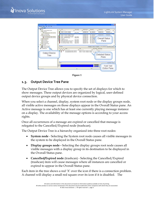



**Figure 1**

#### <span id="page-6-1"></span><span id="page-6-0"></span>**1.3. Output Device Tree Pane**

The Output Device Tree allows you to specify the set of displays for which to show messages. These output devices are organized by logical, user-defined output device groups and by physical device connection.

When you select a channel, display, system root node or the display groups node, all visible active messages on those displays appear in the Overall Status pane. An Active message is one which has at least one currently playing message instance on a display. The availability of the message options is according to your access rights.

Once all occurrences of a message are expired or cancelled that message is relegated to the Cancelled/Expired node (trashcan).

The Output Device Tree is a hierarchy organized into three root nodes:

- **System node** Selecting the System root node causes all visible messages in the system to be displayed in the Overall Status pane.
- **Display groups node -** Selecting the display groups root node causes all visible messages with a display group in its destination to be displayed in the Overall Status pane.
- **Cancelled/Expired node** (trashcan) Selecting the Cancelled/Expired (trashcan) item will cause messages where all instances are cancelled or expired to appear in the Overall Status pane.

Each item in the tree shows a red 'X' over the icon if there is a connection problem. A channel will display a small red square over its icon if it is disabled. The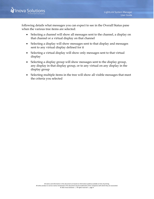

following details what messages you can expect to see in the Overall Status pane when the various tree items are selected:

- Selecting a channel will show all messages sent to the channel, a display on that channel or a virtual display on that channel
- Selecting a display will show messages sent to that display and messages sent to any virtual display defined for it
- Selecting a virtual display will show only messages sent to that virtual display
- Selecting a display group will show messages sent to the display group, any display in that display group, or to any virtual on any display in the display group
- Selecting multiple items in the tree will show all visible messages that meet the criteria you selected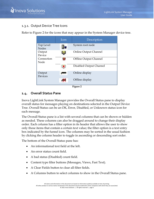

#### <span id="page-8-0"></span>1.3.1. Output Device Tree Icons

Refer to [Figure 2](#page-8-2) for the icons that may appear in the System Manager device tree.

| Icon | Description             |
|------|-------------------------|
|      | System root node        |
|      | Online Output Channel   |
|      | Offline Output Channel  |
|      | Disabled Output Channel |
|      | Online display          |
|      | Offline display         |
|      |                         |

**Figure 2**

#### <span id="page-8-2"></span><span id="page-8-1"></span>**1.4. Overall Status Pane**

Inova LightLink System Manager provides the Overall Status pane to display overall status for messages playing on destinations selected in the Output Device Tree. Overall Status can be an OK, Error, Disabled, or Unknown status icon for each message.

The Overall Status pane is a list with several columns that can be shown or hidden as needed. These columns can also be dragged around to change their display order. Each column has a filter option in its header that allows the user to show only those items that contain a certain text value; the filter option is a text entry box indicated by the funnel icon. The columns may be sorted in the usual fashion by clicking the column header to toggle in ascending or descending sort order.

The bottom of the Overall Status pane has:

- An informational text field at the left.
- An error status count field.
- A bad status (Disabled) count field.
- Content type filter buttons (Messages, Views, Fast Text).
- A Clear Fields button to clear all filter fields.
- A Columns button to select columns to show in the Overall Status pane.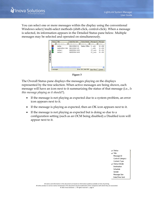You can select one or more messages within the display using the conventional Windows select/multi-select methods (shift-click, control-click). When a message is selected, its information appears in the Detailed Status pane below. Multiple messages may be selected and operated on simultaneously.

|                       | Status     | Title               | Date/Time Sent            | Status Details      | Message ID    | Message !       |
|-----------------------|------------|---------------------|---------------------------|---------------------|---------------|-----------------|
|                       | E Y        | Enter text h<br>Y   | Enter text h $\mathbf{F}$ | Enter te<br>Y       | Enter         | Enter t         |
|                       | Ø          | testing             | 08/14/2006 8:31           | Display Offline     | 4 curly       | $32 \times 240$ |
|                       | 2          | expire after 2 mins | 08/14/2006 9:29           |                     | 7 curly       | $32 \times 240$ |
|                       | ٧          | testing 1           | 08/25/2006 12:52          |                     | 19_curly      | $32 \times 192$ |
|                       | v          | testing 3           | 08/25/2006 16:04          |                     | 21 curly      | $32 \times 192$ |
|                       |            |                     |                           |                     |               |                 |
| <b>Overall Status</b> |            |                     |                           |                     |               |                 |
|                       |            |                     |                           |                     |               |                 |
|                       |            |                     |                           |                     |               |                 |
|                       |            |                     |                           |                     |               |                 |
|                       |            |                     |                           |                     |               |                 |
|                       | Ł.         | TITU                |                           |                     |               | ×               |
|                       | 4 messages |                     |                           | Error: 001 Bad: 000 | Clear Filters | Columns         |
|                       |            |                     |                           |                     |               |                 |

**Figure 3**

The Overall Status pane displays the messages playing on the displays represented by the tree selection. When active messages are being shown, each message will have an icon next to it summarizing the status of that message (i.e., *Is this message playing as it should?*).

- If the message is not playing as expected due to a system problem, an error icon appears next to it.
- If the message is playing as expected, then an OK icon appears next to it.
- If the message is not playing as expected but is doing so due to a configuration setting (such as an OCM being disabled) a Disabled icon will appear next to it.

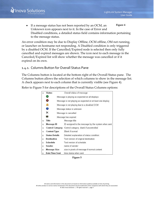<span id="page-10-1"></span>• If a message status has not been reported by an OCM, an Unknown icon appears next to it. In the case of Error and Disabled conditions, a detailed status field contains information pertaining to the message status. **Figure 4**

An error condition may be due to Display Offline, OCM offline, OM not running, or launcher on hostname not responding. A Disabled condition is only triggered by a disabled OCM. If the Cancelled/Expired node is selected then only fully cancelled and expired messages are shown. The icon next to each message in the Canceled/Expired list will show whether the message was cancelled or if it expired on its own.

#### <span id="page-10-0"></span>1.4.1. Columns Button for Overall Status Pane

The Columns button is located at the bottom right of the Overall Status pane. The Columns button allows the selection of which columns to show in the message list. A check appears next to each column that is currently visible (see [Figure 4\)](#page-10-1).

Refer to [Figure 5](#page-10-2) for descriptions of the Overall Status Columns options:

| $\Omega$ | <b>Status</b>         |                                                            | Overall status of message                          |  |  |  |  |
|----------|-----------------------|------------------------------------------------------------|----------------------------------------------------|--|--|--|--|
|          | Ø                     | Message is playing as expected on all displays.            |                                                    |  |  |  |  |
|          | ❸                     | Message is not playing as expected on at least one display |                                                    |  |  |  |  |
|          | ₿                     | Message is not playing due to a disabled OCM               |                                                    |  |  |  |  |
|          | ◉                     | Message status is unknown                                  |                                                    |  |  |  |  |
|          | ×                     |                                                            | Message is cancelled<br>Message has expired        |  |  |  |  |
|          | 500                   |                                                            |                                                    |  |  |  |  |
| $\circ$  | Title                 |                                                            | Message title                                      |  |  |  |  |
| $\circ$  | Message ID            |                                                            | ID assigned to the message by the system when sent |  |  |  |  |
| $\circ$  | Control Category      |                                                            | Control category, blank if uncontrolled            |  |  |  |  |
| $\circ$  | <b>Content Type</b>   |                                                            | Blank if normal                                    |  |  |  |  |
| $\circ$  | <b>Status Details</b> |                                                            | Detailed explanation of status condition           |  |  |  |  |
| $\sigma$ | <b>Destination</b>    |                                                            | Text version of original destination               |  |  |  |  |
| 0        | Schedule              |                                                            | Text version of schedule                           |  |  |  |  |
| o.       | Sender                |                                                            | name of sender                                     |  |  |  |  |
| o.       | Message Size          |                                                            | size in pixels of message if normal content        |  |  |  |  |
| $\circ$  | Date/Time Sent        |                                                            | time stamp when sent.                              |  |  |  |  |

<span id="page-10-2"></span>**Figure 5**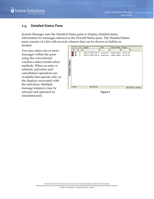

#### <span id="page-11-0"></span>**1.5. Detailed Status Pane**

System Manager uses the Detailed Status pane to display detailed status information for messages selected in the Overall Status pane. The Detailed Status pane consists of a list with several columns that can be shown or hidden as needed.

You may select one or more messages within the pane using the conventional windows select/multi-select methods. When an entry is selected, activation and cancellation operations are available that operate only on the displays associated with the selections. Multiple message instances may be selected and operated on simultaneously.

|          |             | $5$ E | A   | Display              |    | Title        | <b>Status Details</b>              | Display       |         |
|----------|-------------|-------|-----|----------------------|----|--------------|------------------------------------|---------------|---------|
|          |             | EY    | E Y | Enter text here      | Y1 | Enter        | $\mathbb{Z}$ Enter te $\mathbb{Z}$ | Ente<br>Y     |         |
|          | ×           | €     | Ŧ   | 503111 (CHN:7 DSP:3) |    | group test 1 | Display Offline                    | 0,0,32,192    |         |
|          | $\mathbf x$ | ٩     | 曑   | 503112 (CHN:7 DSP:4) |    | group test 1 | Display Offline 0,0,32,192         |               |         |
|          |             |       |     |                      |    |              |                                    |               |         |
|          |             |       |     |                      |    |              |                                    |               |         |
| Status   |             |       |     |                      |    |              |                                    |               |         |
|          |             |       |     |                      |    |              |                                    |               |         |
|          |             |       |     |                      |    |              |                                    |               |         |
| Detailed |             |       |     |                      |    |              |                                    |               |         |
|          |             |       |     |                      |    |              |                                    |               |         |
|          |             |       |     |                      |    |              |                                    |               |         |
|          |             |       |     |                      |    |              |                                    |               |         |
|          |             |       |     |                      |    |              |                                    |               |         |
|          |             |       |     |                      |    |              |                                    |               |         |
|          |             |       |     |                      |    |              |                                    |               |         |
|          | 2 entries   |       |     | Not filtered         |    |              |                                    | Clear Filters | Columns |

**Figure 6**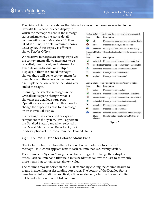The Detailed Status pane shows the detailed status of the messages selected in the

Overall Status pane for each display to which the message as sent. If the message status mismatches, the status detail column will show *status mismatch*. If an OCM is offline, the details column shows *OCM offline*. If the display is offline is shows *Display Offline*.

When active messages are being displayed the context menu allows messages to be cancelled, deactivated, and returned to schedule on individual or multiple displays. If there are ended messages shown, there will be no context menu for them. Nor will there be a context menu if a multiple selection is made including any ended messages.

Changing the selected messages in the Overall Status pane changes what is shown in the detailed status pane. Operations are allowed from this pane to change the expected status for a message on an individual display.

If a message has a cancelled or expired component in the system, it will appear in the Detailed Status pane when selected in the Overall Status pane. Refer to [Figure 7](#page-12-1) for descriptions of the icons from the Detailed Status.

|              |                    | Status Match - This shows if the message playing as expected.      |
|--------------|--------------------|--------------------------------------------------------------------|
| <b>con</b>   | filter             | Des cription                                                       |
| Ø            | ok                 | Message is playing as expected on this display                     |
| ☎            | error              | Message is not playing as expected                                 |
| Ø            | unknown            | Message status is unknown on this display                          |
| be in.       |                    | Expected Status - This indicates the state that the message should |
| Icon         | filter             | <b>Description</b>                                                 |
| а            | activ ated         | Message should be overridden - activated                           |
| E,           |                    | deactivated Message should be overridden - deactivated             |
| <b>C</b>     | scheduled          | Message should be scheduled normally                               |
| ×            | cancelled          | Message should be cancelled                                        |
| $100 -$      | expired            | Message should be expired                                          |
|              |                    | Actual Status - This indicates the message's current status.       |
| con          | filter             | Des cription                                                       |
| 參            | active             | Message should be active                                           |
| а            | activ ated         | Message should be overridden - activated                           |
| 圈            |                    | deactivated Message should be overridden - deactivated             |
| $\mathbf{C}$ | scheduled          | Message should be scheduled normally                               |
| ×            | cancelled          | Message should be cancelled                                        |
| 100          | expired            | Message should be expired                                          |
| 2            | unknown            | No status has been reported for this message                       |
|              | hlank.<br>disabled | No valid status - display or OCM offline or                        |

<span id="page-12-1"></span>**Figure 7**

#### <span id="page-12-0"></span>1.5.1. Columns Button for Detailed Status Pane

The Columns button allows the selection of which columns to show in the message list. A check appears next to each column that is currently visible.

The columns for System Manager can also be dragged to change their display order. Each column has a filter field in its header that allows the user to show only those items that contain a certain text value.

The columns may be sorted in the usual fashion by clicking the column header to toggle in ascending or descending sort order. The bottom of the Detailed Status pane has an informational text field, a filter mode field, a button to clear all filter fields and a button to select list columns.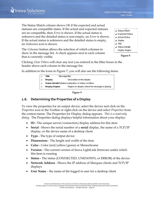The Status Match column shows *OK* if the expected and actual statuses are compatible states. If the actual and expected statuses are no compatible, then *Error* is shown. If the actual status is unknown and the detailed status is non-empty, an *Error* is shown. If the actual status is unknown and the detailed status is empty, an *Unknown* icon is shown.

✔ Status Match ↓ Expected Status Actual Status ✔ Display  $\checkmark$  Title  $\checkmark$  Status Details Display Region

**Figure 8**

The *Columns* button allows the selection of which columns to show in the message list. A check appears next to each column that is currently visible.

Clicking *Clear Filters* will clear any text you entered in the filter boxes in the header above each column in the message list.

In addition to the icons in [Figure 7,](#page-12-1) you will also see the following items:

| ۰ | Title                 | Message title.                                                  |
|---|-----------------------|-----------------------------------------------------------------|
| o | <b>Display</b>        | Description of the display                                      |
| ۰ |                       | <b>Status Details</b> Detailed explanation of status condition. |
| ö | <b>Display Region</b> | Region on display where the message is playing.                 |



# <span id="page-13-0"></span>**1.6. Determining the Properties of a Display**

To view the properties for an output device, select the device and click on the *Properties* icon in the Toolbar or right-click on the device and select *Properties* from the context menu. The Properties for Display dialog appears. *This is a read-only dialog.* The Properties dialog displays helpful information about your display:

- **ID -** The unique server/connection/display address for this item
- **Serial** Shows the serial number of a **serial** display, the name of a TCP/IP display, or the device name of a desktop client.
- **Type** The type of output device
- **Dimensions** The height and width of the item
- **Color -** Color (red/yellow/green) or Monochrome
- **Version -** The current version of Inova LightLink firmware under which this item is running
- **Status -** The status (CONNECTED, UNKNOWN, or ERROR) of the device
- **Network Address** Shows the IP address of Marquee clients and TCP/IP displays
- **User Name**  the name of the logged in user for a desktop client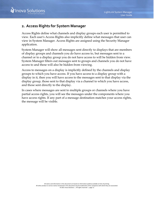# <span id="page-14-0"></span>**2. Access Rights for System Manager**

Access Rights define what channels and display groups each user is permitted to view. Each user's Access Rights also implicitly define what messages that user can view in System Manager. Access Rights are assigned using the Security Manager application.

System Manager will show all messages sent directly to displays that are members of display groups and channels you do have access to, but messages sent to a channel or to a display group you do not have access to will be hidden from view. System Manager filters out messages sent to groups and channels you do not have access to and these will also be hidden from viewing.

Access to messages on a display is implicitly defined by the channels and display groups to which you have access. If you have access to a display group with a display in it, then you will have access to the messages sent to that display via the display group, those sent to that display via a channel to which you have access, and those sent directly to the display.

In cases where messages are sent to multiple groups or channels where you have partial access rights, you will see the messages under the components where you have access rights. If any part of a message destination matches your access rights, the message will be visible.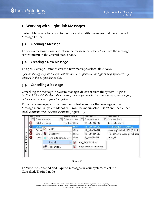# <span id="page-15-0"></span>**3. Working with LightLink Messages**

System Manager allows you to monitor and modify messages that were created in Message Editor.

#### <span id="page-15-1"></span>**3.1. Opening a Message**

To open a message, double click on the message or select *Open* from the message context menu in the Overall Status pane.

# <span id="page-15-2"></span>**3.2. Creating a New Message**

To open Message Editor to create a new message, select File > New.

*System Manager opens the application that corresponds to the type of displays currently selected in the output device side.*

# <span id="page-15-3"></span>**3.3. Cancelling a Message**

Cancelling the message in System Manager deletes it from the system. *Refer to Section [3.5](#page-16-1) for details about deactivating a message, which stops the message from playing but does not remove it from the system.*

To cancel a message, you can use the context menu for that message or the Message menu in System Manager. From the menu, select *Cancel* and then either *on all locations* or *on selected locations* [\(Figure 10\)](#page-15-4).



#### **Figure 10**

<span id="page-15-4"></span>To View the Canceled and Expired messages in your system, select the Cancelled/Expired node.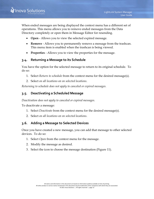When ended messages are being displayed the context menu has a different set of operations. This menu allows you to remove ended messages from the Data Directory completely or open them in Message Editor for resending.

- **Open** Allows you to view the selected expired message.
- **Remove** Allows you to permanently remove a message from the trashcan. This menu item is enabled when the trashcan is being viewed.
- <span id="page-16-0"></span>• **Properties** - Allows you to view the properties for the message.

#### **3.4. Returning a Message to its Schedule**

You have the option for the selected message to return to its original schedule. To do so:

- 1. Select *Return to schedule* from the context menu for the desired message(s).
- 2. Select *on all locations* or *on selected locations*.

*Returning to schedule does not apply to canceled or expired messages.*

#### <span id="page-16-1"></span>**3.5. Deactivating a Scheduled Message**

*Deactivation does not apply to canceled or expired messages.*

To deactivate a message:

- 1. Select *Deactivate* from the context menu for the desired message(s).
- 2. Select *on all locations* or *on selected locations*.

#### <span id="page-16-2"></span>**3.6. Adding a Message to Selected Devices**

Once you have created a new message, you can add that message to other selected devices. To do so:

- 1. Select *Open* from the context menu for the message.
- 2. Modify the message as desired.
- 3. Select the icon to choose the message destination [\(Figure 11\)](#page-17-1).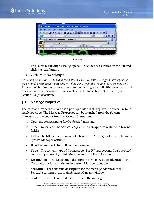

**Figure 11**

- <span id="page-17-1"></span>4. The Select Destinations dialog opens. Select desired devices on the left and click the Add button.
- 5. Click *OK* to save changes.

*Removing devices in the Add/Remove dialog does not remove the original message from the original destination; it only removes that device from future updates to the message.*  To completely remove the message from the display, you will either need to cancel or deactivate the message for that display. Refer to Section [3.3](#page-15-3) (to cancel) or Section [3.5](#page-16-1) (to deactivate).

#### <span id="page-17-0"></span>**3.7. Message Properties**

The Message Properties Dialog is a pop-up dialog that displays the overview for a single message. The Message Properties can be launched from the System Manager main menu or from the Overall Status pane.

- 1. Open the context menu for the desired message.
- *2.* Select Properties. The *Message Properties* screen appears with the following fields:
- **Title –** The title of the message, identical to the Message column in the main System Manager window
- **ID –** The unique Activity ID of the message
- **Type –** The content type of the message. For 5.7 and beyond the supported content types are LightLink Message and Fast Text Message
- **Destination –** The Destination description for the message, identical to the Destination column in the main System Manager window
- **Schedule –** The Schedule description for the message, identical to the Schedule column in the main System Manager window
- **Sent –** The Date, Time, and user who sent the message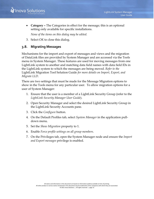

• **Category –** The Categories in effect for the message; this is an optional setting only available for specific installations.

*None of the items on this dialog may be edited.* 

3. Select O*K* to close this dialog.

#### <span id="page-18-0"></span>**3.8. Migrating Messages**

Mechanisms for the import and export of messages and views and the migration of DataLink files are provided by System Manager and are accessed via the Tools menu in System Manager. These features are used for moving messages from one LightLink system to another and matching data field names with data field IDs in the LightLink system to which the messages are being moved. *Refer to the*  LightLink Migration Tool Solution Guide *for more details on Import, Export, and Migrate LLD.*

There are two settings that must be made for the Message Migration options to show in the Tools menu for any particular user. To allow migration options for a user of System Manager:

- 1. Ensure that the user is a member of a LightLink Security Group (refer to the *LightLink Security Manager User Guide*).
- 2. Open Security Manager and select the desired LightLink Security Group in the LightLink Security Accounts pane.
- 3. Click the *Configure* button.
- 4. On the Default Profiles tab, select *System Manager* in the application pulldown menu.
- 5. Set the *Show Migration* property to 1.
- 6. Enable *Force profile settings on all group members*.
- 7. On the Privileges tab, open the System Manager node and ensure the *Import and Export messages* privilege is enabled.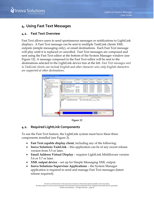

# <span id="page-19-0"></span>**4. Using Fast Text Messages**

#### <span id="page-19-1"></span>**4.1. Fast Text Overview**

Fast Text allows users to send spontaneous messages or notifications to LightLink displays. A Fast Text message can be sent to multiple TaskLink clients XML outputs (simple messaging only), or email destinations. Each Fast Text message will play until it is replaced or cancelled. Fast Text messages are composed and sent using the Fast Text editor at the bottom of the System Manager window (see [Figure 12\)](#page-19-3). A message composed in the Fast Text editor will be sent to the destinations selected in the LightLink device tree at the left. *Fast Text messages sent to TaskLink clients can include English and other character sets*; *only English characters are supported at other destinations.*



**Figure 12**

#### <span id="page-19-3"></span><span id="page-19-2"></span>**4.2. Required LightLink Components**

To use the Fast Text feature, the LightLink system must have these three components installed (see Figure 2).

- **Fast Text capable display client**, including any of the following:
- **Inova Solutions TaskLink** this application can be of any recent release version from 5.5 or later.
- **Email Address Virtual Display** requires LightLink Middleware version 5.6 or 5.7 or later.
- **XML output device**  set up for Simple Messaging XML output.
- **Inova Solutions Supervisor Applications** the System Manager application is required to send and manage Fast Text messages (latest release required).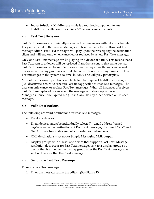• **Inova Solutions Middleware** – this is a required component to any LightLink installation (prior 5.6 or 5.7 versions are sufficient).

#### <span id="page-20-0"></span>**4.3. Fast Text Behavior**

Fast Text messages are minimally-formatted text messages without any schedule. They are created in the System Manager application using the built-in Fast Text message editor. Fast Text messages will play upon their receipt by the destination client and will end only when cancelled or replaced by a new Fast Text message.

Only one Fast Text message can be playing on a device at a time. This means that a Fast Text sent to a device will be replaced if another is sent to that same device. Fast Text messages can be sent to one or more displays directly and can be sent to one or more display groups or output channels. There can be any number of Fast Text messages in the system at a time, but only one will play per display.

Most of the message operations available to other types of LightLink messages (i.e., deactivate, return to schedule) are not applicable to Fast Text messages. The user can only cancel or replace Fast Text messages. When all instances of a given Fast Text are replaced or cancelled, the message will show up in System Manager's Cancelled/Expired bin (Trash Can) like any other deleted or finished message.

#### <span id="page-20-1"></span>**4.4. Valid Destinations**

The following are valid destinations for Fast Text messages:

- TaskLink devices
- Email devices (must be individually selected) email address *Virtual displays* can be the destinations of Fast Text messages; the 'Email OCM' and 'To: Address' tree nodes are not supported as destinations.
- XML destinations set up for Simple Messaging XML output.
- Display groups with at least one device that supports Fast Text. Message resolution does occur for Fast Text messages sent to a display group so a device that is added to the display group after the Fast Text message was sent will receive that Fast Text message.

#### <span id="page-20-2"></span>**4.5. Sending a Fast Text Message**

To send a Fast Text message:

1. Enter the message text in the editor. (See [Figure 13.](#page-21-0))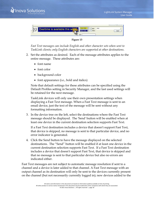

**Figure 13**

<span id="page-21-0"></span>*Fast Text messages can include English and other character sets when sent to TaskLink clients; only English characters are supported at other destinations.*

- 2. Set the attributes as desired. Each of the message attributes applies to the entire message. These attributes are:
	- font name
	- font color
	- background color
	- font appearance (i.e., bold and italics)

Note that default settings for these attributes can be specified using the Default Profiles setting in Security Manager, and the last used settings will be retained for the next message.

TaskLink devices will only use their own presentation settings when displaying a Fast Text message. When a Fast Text message is sent to an email device, just the text of the message will be sent without any formatting information.

3. In the device tree on the left, select the destinations where the Fast Text message should be displayed. The 'Send' button will be enabled when at least one device in the current destination selection supports Fast Text.

If a Fast Text destination includes a device that doesn't support Fast Text, that device is skipped, no message is sent to that particular device, and no error indicator is generated.

4. Click the Send button to have the message displayed on the selected destinations. The "Send" button will be enabled if at least one device in the current destination selection supports Fast Text. If a Fast Text destination includes a device that doesn't support Fast Text, that device is skipped and that no message is sent to that particular device but also no errors are indicated either.

Fast Text messages are not subject to automatic message resolution if sent to a channel and a device is later added to that channel. A Fast Text message with an output channel as its destination will only be sent to the devices currently present on the channel (but not necessarily currently logged in); new devices added to the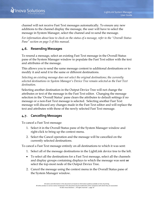channel will not receive Fast Text messages automatically. To ensure any new additions to the channel display the message, the user will have to select the message in System Manager, select the channel and re-send the message.

*For information about how to check on the status of a message, refer to the "[Overall Status](#page-8-1)  [Pane](#page-8-1)" section on page [5](#page-8-1) of this manual.*

#### <span id="page-22-0"></span>**4.6. Resending Messages**

To resend a message, select an existing Fast Text message in the Overall Status pane of the System Manager window to populate the Fast Text editor with the text and attributes of the message.

This allows you to send the same message content to additional destinations or to modify it and send it to the same or different destinations.

*Selecting an existing message does not select the original destinations; the currently selected destinations in System Manager's Device Tree remain selected as the Fast Text destination.*

Selecting another destination in the Output Device Tree will not change the attributes or text of the message in the Fast Text editor. Changing the message selection in the 'Overall Status' pane clears the attributes to default settings if no message or a non-Fast Text message is selected. Selecting another Fast Text message will discard any changes made in the Fast Text editor and will replace the text and attributes with those of the newly selected Fast Text message.

#### <span id="page-22-1"></span>**4.7. Cancelling Messages**

To cancel a Fast Text message:

- 1. Select it in the Overall Status pane of the System Manager window and right-click to bring up the context menu.
- 2. Select the Cancel operation and the message will be cancelled on the currently selected destinations.

To cancel a Fast Text message entirely on all destinations to which it was sent:

- 1. Select all of the message destinations in the LightLink device tree to the left.
- To select all the destinations for a Fast Text message, select all the channels and display groups containing displays to which the message was sent **or** select the top-most node of the Output Device Tree.
- 2. Cancel the message using the context menu in the Overall Status pane of the System Manager window.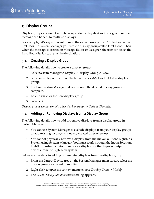

# <span id="page-23-0"></span>**5. Display Groups**

Display groups are used to combine separate display devices into a group so one message can be sent to multiple displays.

For example, let's say you want to send the same message to all 10 devices on the first floor. In System Manager you create a display group called First Floor. Then when the message is created in Message Editor or Designer, the user can select the First Floor display group as the destination.

#### <span id="page-23-1"></span>**5.1. Creating a Display Group**

The following details how to create a display group.

- 1. Select System Manager > Display > Display Group > New.
- 2. Select a display or device on the left and click *Add* to add it to the display group.
- 3. Continue adding *displays* and *devices* until the desired display group is complete.
- 4. Enter a *name* for the new display group.
- 5. Select *OK.*

*Display groups cannot contain other display groups or Output Channels.* 

#### <span id="page-23-2"></span>**5.2. Adding or Removing Displays from a Display Group**

The following details how to add or remove displays from a display group in System Manager.

- You can use System Manager to exclude displays from your display groups or add existing displays to a newly-created display group.
- You cannot physically remove a display from the Inova Solutions LightLink System using System Manager. You must work through the Inova Solutions LightLink Administrator to remove a display or other types of output devices from the LightLink system.

Below are the steps to adding or removing displays from the display group.

- 1. From the Output Device tree on the System Manager main screen, select the display group you want to modify.
- 2. Right-click to open the context menu; choose *Display Group* > *Modify*.
- 3. The *Select Display Group Members* dialog appears.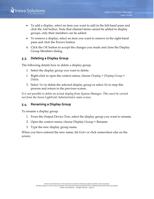- To add a display, select an item you want to add in the left-hand pane and click the *Add* button. Note that channel items cannot be added to display groups, only their members can be added.
- To remove a display, select an item you want to remove in the right-hand pane and click the *Remove* button.
- 4. Click the *OK* button to accept the changes you made and close the Display Group Members dialog.

#### <span id="page-24-0"></span>**5.3. Deleting a Display Group**

The following details how to delete a display group.

- 1. Select the display group you want to delete.
- 2. Right-click to open the context menu; choose *Display* > *Display Group* > *Delete*.
- 3. Select *Yes* to delete the selected display group or select *No* to stop this process and return to the previous screen.

*It is not possible to delete an actual display from System Manager. This must be carried out from the Inova LightLink Administrator main screen.*

#### <span id="page-24-1"></span>**5.4. Renaming a Display Group**

To rename a display group:

- 1. From the Output Device Tree, select the display group you want to rename.
- 2. Open the context menu; choose Display Group > Rename.
- 3. Type the new display group name.

When you have entered the new name, hit *Enter* or click somewhere else on the screen.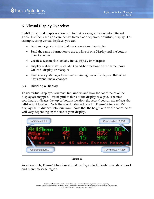

# <span id="page-25-0"></span>**6. Virtual Display Overview**

LightLink **virtual displays** allow you to divide a single display into different grids. In effect, each grid can then be treated as a separate, or virtual, display. For example, using virtual displays, you can:

- Send messages to individual lines or regions of a display
- Send the same information to the top line of one Display and the bottom line of another
- Create a system clock on any Inova display or Marquee
- Display real-time statistics AND an ad-hoc message on the same Inova OnTrack display or Marquee
- Use Security Manager to secure certain regions of displays so that other users cannot make changes

#### <span id="page-25-1"></span>**6.1. Dividing a Display**

To use virtual displays, you must first understand how the coordinates of the display are mapped. It is helpful to think of the display as a grid. The first coordinate indicates the top-to-bottom location; the second coordinate reflects the left-to-right location. Note the coordinates indicated in [Figure 14](#page-25-2) for a 48x256 display that is divided into four rows. Note that the height and width coordinates will vary depending on the size of your display.





<span id="page-25-2"></span>As an example, [Figure 14](#page-25-2) has four virtual displays: clock, header row, data lines 1 and 2, and message region.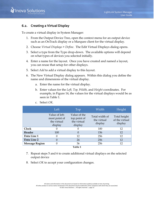

#### <span id="page-26-0"></span>**6.2. Creating a Virtual Display**

To create a virtual display in System Manager:

- 1. From the Output Device Tree, open the context menu for an output device such as an OnTrack display or a Marquee client for the virtual display*.*
- 2. Choose *Virtual Displays > Define*. The Edit Virtual Displays dialog opens.
- 3. Select a type from the Type drop-down. The available options will depend on what types of devices you selected initially.
- 4. Enter a name for the layout. Once you have created and named a layout, you can reuse that setup for other displays.
- 5. Select *Add* to add a virtual display to this layout.
- 6. The New Virtual Display dialog appears. Within this dialog you define the name and dimensions of the virtual display.
	- a. Enter the name for the virtual display*.*
	- b. Enter values for the *Left, Top, Width*, and *Height* coordinates. For example, in [Figure 14,](#page-25-2) the values for the virtual displays would be as seen in Table 1.

|                       | Left                                                      | Top                                                    | Width                                    | Height                                    |
|-----------------------|-----------------------------------------------------------|--------------------------------------------------------|------------------------------------------|-------------------------------------------|
|                       | Value of left-<br>most point of<br>the virtual<br>display | Value of the<br>top point of<br>the virtual<br>display | Total width of<br>the virtual<br>display | Total height<br>of the virtual<br>display |
| Clock                 |                                                           | 0                                                      | 100                                      | 12                                        |
| Header                | 100                                                       | $\Omega$                                               | 156                                      | 12                                        |
| Data Line 1           |                                                           | 12                                                     | 256                                      | 12                                        |
| Data Line 2           |                                                           | 24                                                     | 256                                      | 12                                        |
| <b>Message Region</b> |                                                           | 36                                                     | 256                                      | 12                                        |
|                       |                                                           | Table 1                                                |                                          |                                           |

c. Select *OK.*

- 7. Repeat steps 5 and 6 to create additional virtual displays on the selected output device
- 8. Select *OK* to accept your configuration changes.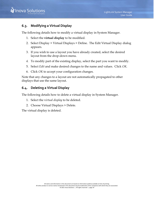

# <span id="page-27-0"></span>**6.3. Modifying a Virtual Display**

The following details how to modify a virtual display in System Manager.

- 1. Select the **virtual display** to be modified.
- 2. Select Display > Virtual Displays > Define. The Edit Virtual Display dialog appears.
- 3. If you wish to use a layout you have already created, select the desired layout from the drop-down menu.
- *4.* To modify part of the existing display, select the part you want to modify.
- 5. Select *Edit* and make desired changes to the name and values. Click *OK.*
- 6. Click *OK* to accept your configuration changes.

Note that any changes to a layout are not automatically propagated to other displays that use the same layout.

#### <span id="page-27-1"></span>**6.4. Deleting a Virtual Display**

The following details how to delete a virtual display in System Manager.

- 1. Select the v*irtual display* to be deleted.
- 2. Choose Virtual Displays > Delete.

The virtual display is deleted.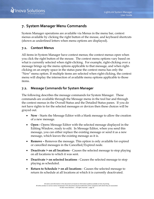# <span id="page-28-0"></span>**7. System Manager Menu Commands**

System Manager operations are available via Menus in the menu bar, context menus available by clicking the right button of the mouse, and keyboard shortcuts (shown as underlined letters when menu options are displayed).

#### <span id="page-28-1"></span>**7.1. Context Menus**

All items in System Manager have context menus; the context menus open when you click the right button of the mouse. The context menu options vary based on what is currently selected when right-clicking. For example, right-clicking over a message brings up the menu options applicable to that message, and when rightclicking on an empty space in the status pane the context menu has only the "New" menu option. If multiple items are selected when right-clicking, the context menu will display the intersection of available menu options applicable to those items.

#### <span id="page-28-2"></span>**7.2. Message Commands for System Manager**

The following describes the message commands for System Manager. These commands are available through the Message menu in the tool bar and through the context menus in the Overall Status and the Detailed Status panes. If you do not have rights to for the selected messages or devices then these choices will be grayed out.

- **New** Starts the Message Editor with a blank message to allow the creation of a new message.
- **Open -** Opens Message Editor with the selected message displayed in the Editing Window, ready to edit. In Message Editor, when you send this message, you can either replace the existing message or send it as a new message, which leaves the existing message as it is.
- **Remove –** Removes the message. This option is only available for expired or cancelled messages in the Cancelled/Expired node.
- **Deactivate > on all locations** Causes the selected message to stop playing on all locations to which it was sent.
- **Deactivate > on selected locations** Causes the selected message to stop playing as scheduled.
- **Return to Schedule > on all locations** Causes the selected message to return its schedule at all locations at which it is currently deactivated.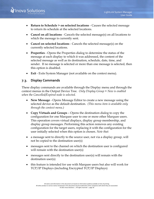- **Return to Schedule > on selected locations** Causes the selected message to return its schedule at the selected locations.
- **Cancel on all locations** Cancels the selected message(s) on all locations to which the message is currently sent.
- **Cancel on selected locations** Cancels the selected message(s) on the currently selected locations.
- **Properties** Opens the Properties dialog to determine the status of the message at each display to which it was addressed, the content of the selected message as well as its destination, schedule, date, time, and sender. If no message is selected or more than one message is selected, then this option is disabled.
- **Exit** Exits System Manager (not available on the context menu).

#### <span id="page-29-0"></span>**7.3. Display Commands**

These display commands are available through the Display menu and through the context menus in the Output Device Tree. *Only Display Group > New is enabled when the Cancelled/Expired node is selected.*

- **New Message** Opens Message Editor to create a new message using the selected device as the default destination. *(This menu item is available only through the context menu.)*
- **Copy Virtuals and Groups** Opens the destination dialog to copy the configuration for one Marquee user to one or more other Marquee users. This operation covers virtual displays, display group membership, and display group messages. Performing this action removes any existing configuration for the target users, replacing it with the configuration for the user initially selected when this option is chosen. *Note that:*
- a message sent to directly to the source user, not via a display group, will not be copied to the destination user(s)
- messages sent to the channel on which the destination user is configured will remain with the destination user(s)
- messages sent directly to the destination user(s) will remain with the destination user(s)
- this feature is intended for use with Marquee users but also will work for TCP/IP Displays (including Encrypted TCP/IP Displays)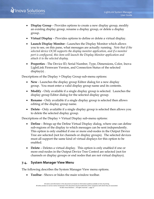- **Display Group** Provides options to create a new display group, modify an existing display group, rename a display group, or delete a display group.
- **Virtual Display** Provides options to define or delete a virtual display.
- **Launch Display Monitor -** Launches the Display Monitor which allows you to see, on this pane, what messages are actually running. *Note that if the selected device OCM supports the display monitor application, and if a monitor port is configured, this item will launch the Display Monitor application and attach it to the selected display.*
- **Properties** The Device ID, Serial Number, Type, Dimensions, Color, Inova LightLink Firmware Version, and Connection Status of the selected display(s) .

Descriptions of the Display > Display Group sub-menu options:

- **New** Launches the display group Editor dialog for a new display group. You must enter a valid display group name and its contents.
- **Modify** Only available if a single display group is selected. Launches the display group Editor dialog for the selected display group.
- **Rename** Only available if a single display group is selected then allows editing of the display group name.
- **Delete** Only available if a single display group is selected then allows you to delete the selected display group.

Descriptions of the Display > Virtual Display sub-menu options:

- **Define** Brings up the Define Virtual Display dialog, where one can define sub-regions of the display to which messages can be sent independently. This option is only enabled if one or more end-nodes in the Output Device Tree are selected (not for channels or display groups). The selected devices must all support the same kind of virtual displays for this option to be enabled.
- **Delete** Deletes a virtual display. This option is only enabled if one or more end-nodes in the Output Device Tree Control are selected (not for channels or display groups or end nodes that are not virtual displays).

#### <span id="page-30-0"></span>**7.4. System Manager View Menu**

The following describes the System Manager View menu options.

• **Toolbar** - Shows or hides the main window toolbar.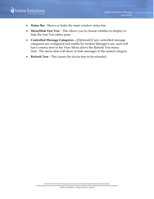

- **Status Bar** Shows or hides the main window status bar.
- **Show/Hide Fast Text** This allows you to choose whether to display or hide the Fast Text editor pane.
- **Controlled Message Categories –** [Optional] If any controlled message categories are configured and enable for System Manager's use, each will have a menu item in the View Menu above the Refresh Tree menu item. The menu item will show or hide messages of the named category.
- **Refresh Tree** This causes the device tree to be reloaded.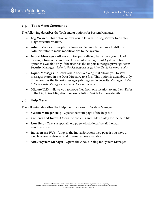

#### <span id="page-32-0"></span>**7.5. Tools Menu Commands**

The following describes the Tools menu options for System Manager.

- **Log Viewer** This option allows you to launch the Log Viewer to display diagnostic information.
- **Administrator** This option allows you to launch the Inova LightLink Administrator to make modifications to the system.
- **Import Messages** Allows you to open a dialog that allows you to load messages from a file and insert them into the LightLink System. This option is available only if the user has the Import messages privilege set in Security Manager. *Refer to the Security Manager User Guide for more details.*
- **Export Messages** Allows you to open a dialog that allows you to save messages stored in the Data Directory to a file. This option is available only if the user has the Export messages privilege set in Security Manager. *Refer to the Security Manager User Guide for more details.*
- **Migrate LLD** allows you to move files from one location to another. Refer to the LightLink Migration Process Solution Guide for more details.

#### <span id="page-32-1"></span>**7.6. Help Menu**

The following describes the Help menu options for System Manager.

- **System Manager Help** Opens the front page of the help file
- **Contents and Index** Opens the contents and index dialog for the help file
- **Icon Help** Opens a special help page which describes all the main window icons
- **Inova on the Web -** Jump to the Inova Solutions web page if you have a web browser registered and internet access available
- **About System Manager** Opens the About Dialog for System Manager